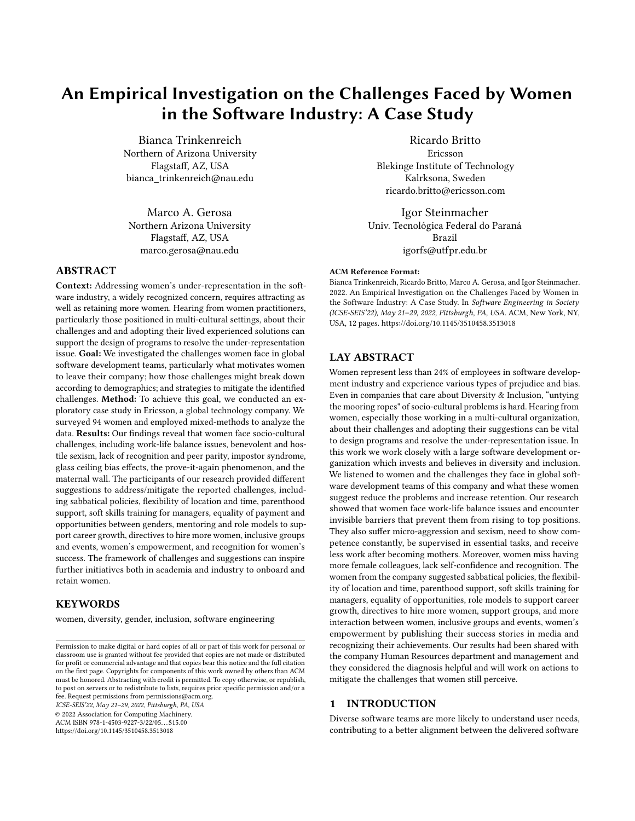# An Empirical Investigation on the Challenges Faced by Women in the Software Industry: A Case Study

Bianca Trinkenreich Northern of Arizona University Flagstaff, AZ, USA bianca\_trinkenreich@nau.edu

Marco A. Gerosa Northern Arizona University Flagstaff, AZ, USA marco.gerosa@nau.edu

# ABSTRACT

Context: Addressing women's under-representation in the software industry, a widely recognized concern, requires attracting as well as retaining more women. Hearing from women practitioners, particularly those positioned in multi-cultural settings, about their challenges and and adopting their lived experienced solutions can support the design of programs to resolve the under-representation issue. Goal: We investigated the challenges women face in global software development teams, particularly what motivates women to leave their company; how those challenges might break down according to demographics; and strategies to mitigate the identified challenges. Method: To achieve this goal, we conducted an exploratory case study in Ericsson, a global technology company. We surveyed 94 women and employed mixed-methods to analyze the data. Results: Our findings reveal that women face socio-cultural challenges, including work-life balance issues, benevolent and hostile sexism, lack of recognition and peer parity, impostor syndrome, glass ceiling bias effects, the prove-it-again phenomenon, and the maternal wall. The participants of our research provided different suggestions to address/mitigate the reported challenges, including sabbatical policies, flexibility of location and time, parenthood support, soft skills training for managers, equality of payment and opportunities between genders, mentoring and role models to support career growth, directives to hire more women, inclusive groups and events, women's empowerment, and recognition for women's success. The framework of challenges and suggestions can inspire further initiatives both in academia and industry to onboard and retain women.

# **KEYWORDS**

women, diversity, gender, inclusion, software engineering

ICSE-SEIS'22, May 21–29, 2022, Pittsburgh, PA, USA © 2022 Association for Computing Machinery.

ACM ISBN 978-1-4503-9227-3/22/05. . . \$15.00 <https://doi.org/10.1145/3510458.3513018>

Ricardo Britto Ericsson Blekinge Institute of Technology Kalrksona, Sweden ricardo.britto@ericsson.com

Igor Steinmacher Univ. Tecnológica Federal do Paraná Brazil igorfs@utfpr.edu.br

#### ACM Reference Format:

Bianca Trinkenreich, Ricardo Britto, Marco A. Gerosa, and Igor Steinmacher. 2022. An Empirical Investigation on the Challenges Faced by Women in the Software Industry: A Case Study. In Software Engineering in Society (ICSE-SEIS'22), May 21–29, 2022, Pittsburgh, PA, USA. ACM, New York, NY, USA, 12 pages.<https://doi.org/10.1145/3510458.3513018>

# LAY ABSTRACT

Women represent less than 24% of employees in software development industry and experience various types of prejudice and bias. Even in companies that care about Diversity & Inclusion, "untying the mooring ropes" of socio-cultural problems is hard. Hearing from women, especially those working in a multi-cultural organization, about their challenges and adopting their suggestions can be vital to design programs and resolve the under-representation issue. In this work we work closely with a large software development organization which invests and believes in diversity and inclusion. We listened to women and the challenges they face in global software development teams of this company and what these women suggest reduce the problems and increase retention. Our research showed that women face work-life balance issues and encounter invisible barriers that prevent them from rising to top positions. They also suffer micro-aggression and sexism, need to show competence constantly, be supervised in essential tasks, and receive less work after becoming mothers. Moreover, women miss having more female colleagues, lack self-confidence and recognition. The women from the company suggested sabbatical policies, the flexibility of location and time, parenthood support, soft skills training for managers, equality of opportunities, role models to support career growth, directives to hire more women, support groups, and more interaction between women, inclusive groups and events, women's empowerment by publishing their success stories in media and recognizing their achievements. Our results had been shared with the company Human Resources department and management and they considered the diagnosis helpful and will work on actions to mitigate the challenges that women still perceive.

# 1 INTRODUCTION

Diverse software teams are more likely to understand user needs, contributing to a better alignment between the delivered software

Permission to make digital or hard copies of all or part of this work for personal or classroom use is granted without fee provided that copies are not made or distributed for profit or commercial advantage and that copies bear this notice and the full citation on the first page. Copyrights for components of this work owned by others than ACM must be honored. Abstracting with credit is permitted. To copy otherwise, or republish, to post on servers or to redistribute to lists, requires prior specific permission and/or a fee. Request permissions from permissions@acm.org.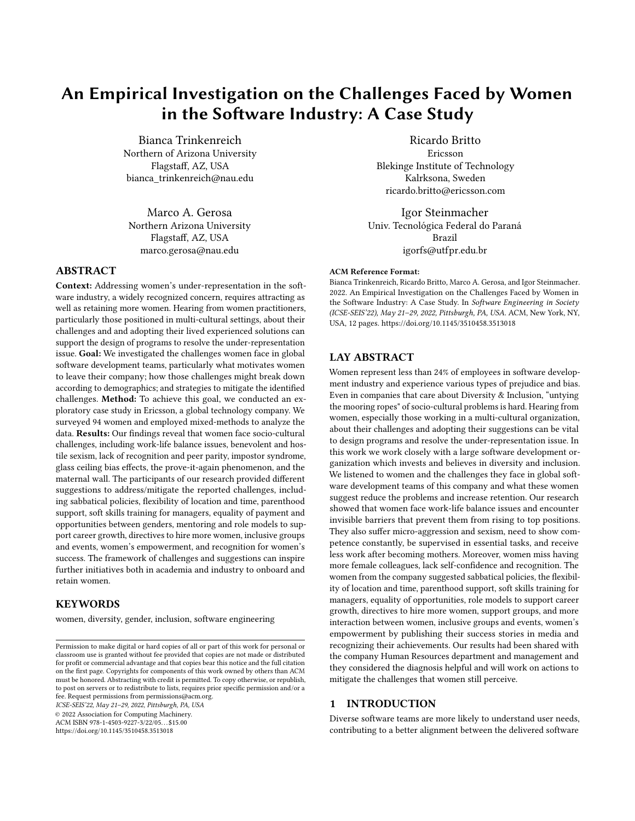and its intended customers [51]. Diversity further positively affects productivity by bringing together different perspectives [73] and fosters innovation and problem-solving capacity, leading to a healthier work environment [19]. However, women are still underrepresented in the software industry [35]. Reducing the gender gap in the software industry requires not only attracting, but also retaining women.

Women1 often face socio-cultural challenges in the software industry and could decide to leave their jobs (or even the software industry) if diversity is not a priority [42]. Gender-related incidents can be so severe that they motivate women to leave a project or their jobs [55, 72]. Kuechler et al. [40] suggest that women drop out because their jobs are not aligned to their motivations or due to the unappealing and hostile social dynamics in their daily work. Understanding the reasons behind the decision to step out of a project or role can help create strategies to increase retention.

Challenges faced by women have been largely investigated in the free and open source software (F/OSS) development context (e.g., [5, 12, 13, 36, 42, 53, 55, 56, 58, 67, 71, 72, 74]). Although there are a few studies focusing on software companies [14, 52, 54, 78], the results are still preliminary and more studies are needed to contribute to theory building. In this context, theory is built by aggregating results from case studies and related qualitative research by making comparisons, looking for similarities and differences within the collected data, and by examining future questions [41].

In this paper, we contribute to this scientific body of knowledge by reporting a case study in a multi-cultural global software development organization from a large company, namely Ericsson, which is a global private company that has more than 100,000 employees around the world, and is one of the leading providers of Information and Communication Technology (ICT). One of the Diversity & Inclusion business goals of the company is to reach at least 25% proportion of women in every suborganization of the company. However, the software development organization still struggles to attract and retain women and has partnered with external researchers to understand the challenges and strategies from the point of view of the women themselves. As the phenomenon under study is complex because it involves different perspectives and disciplines, it is critical to consider how women perceive and give meaning to their social reality.

Therefore, our goal is to identify the challenges that women face in the company, according to them, and investigate the measures that women recommend to mitigate the identified challenges. To achieve our goal, we defined the following research questions: RQ1: What challenges do women face in software teams?

RQ2: What are possible actions to mitigate the identified challenges, from the women's perspectives?

To answer our research questions, we collected data through an online questionnaire that included questions about the challenges that are currently being faced, reasons women would decide to leave, and suggestions to increase women's participation. The questionnaire was answered by 94 women from a software development suborganization of Ericsson. The novelty of the work includes considering a multi-cultural global software development organization from a large IT company, breaking down the challenges according to demographics, identifying challenges that push women out of the company, and connecting challenges to potential strategies to attract and retain women from the point of view of the women themselves, who are on the front lines of the problem.

We introduce our research design in Section 2 and the study results in Section 3. Section 4 discusses the results and implications of our results, followed by related work in Section 5, limitations, and conclusions in Sections 6 and 7.

# 2 RESEARCH DESIGN

To answer our research questions, we conducted an exploratory case study [62] via a questionnaire administered to women from one of the software development suborganizations of Ericsson. In this section, we describe the case and the phases of planning, data collection, and analysis.

### 2.1 The Case and Unit of Analysis

The case and unit of analysis is one of Ericsson's software development organizations. Ericsson is a global and large company that develops telecommunications-related products. It has more than 100,000 employees who are geographically distributed in several countries, including India, Sweden, Canada, USA, Poland, Brazil, and Germany.

To diagnose how the company is doing in terms of gender diversity, every year, Ericsson<sup>2</sup> publishes a diversity report with the percentage of employees who identify themselves as women<sup>3</sup>. The company has a goal to achieve at least 25% of women as employees in all suborganizations. This percentage was achieved for the whole company in 2020, but not in a consistent way in every suborganization. One of the software development organizations still dominated by men (the name of which is omitted for confidentially reasons) decided to conduct a systematic research to understand the viewpoint of the women who currently work at the company, in order to plan informed and bottom-up actions to mitigate the reported challenges. The company is interested in understanding the challenges women report as well as their suggestions to improve the current situation, as a contemporary phenomenon within its real-life context [80]. This case study was collaboratively conducted by one researcher from the company and three outsiders.

#### 2.2 Data Collection

We administered an online questionnaire  $4$  using the Qualtrics tool<sup>5</sup> to employees from the software development suborganization who self-identify as women. We opted for a questionnaire instead of interviews to increase participation and coverage of the research. The questionnaire was designed to understand the state of the problem, asking open questions about the challenges faced, the reasons that drove women they know to leave the company, and their suggestions to retain more women in the company. The demographic

<sup>&</sup>lt;sup>1</sup>In this study, we use the term "gender" as a socially constructed concept [11], where gender identification, display, and performance might or might not align with a person's sex assigned at birth. To reflect this social concept of gender, we use the term "women" and "men" as a shorthand for people who self-identify as such.

 $^2$ <http://www.ericsson.com>

 $^3$ <https://www.ericsson.com/en/investors/financial-reports/annual-reports>

<sup>&</sup>lt;sup>4</sup>The research protocol was approved by the university institutional review board (IRB).

<sup>5</sup><http://www.qualtrics.com>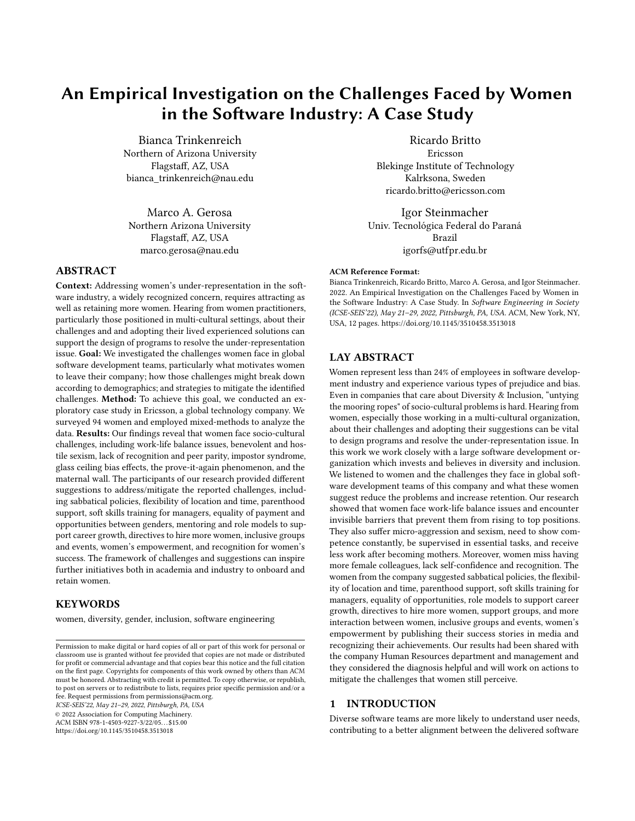questions were the last part of the questionnaire, and were chosen to help us investigate possible relations between groups. Although family is universal to all genders, women culturally face a greater pressure to balance work and family [70]. Considering women as the target population of the present study, besides country, age, and experience, we included demographics questions to understand possible intersections of the challenges and family status. All questions were optional to increase the response rate by making respondents more comfortable [57]. After proofreading and testing in multiple browsers and devices, we invited three participants to pilot the questionnaire so we could collect feedback and measure the time to answer. No modification of the questionnaire was necessary, and we discarded these initial answers.

The managers of the company software teams sent emails to the women on their teams with the questionnaire link. Every week, the first author of this paper followed up with the company's manager to check the number of answers and identify sites that needed additional encouragement.

The questionnaire was open for answers between June 11 and July 20, 2021. Our questionnaire received 94 non-blank answers. We report the demographics of the respondents in Table 1. Most of the respondents were residents of India (65.6%), less than 35 years old (50.0%), married (62.8%), living with children (52.1%), having more than 10 years of experience in the software industry (45.7%) and less than 5 years working in the company (35.1%). A balanced proportion of respondents have and do not have children living with them. The sample mirrors the company's numbers. In 2020, the prevalent nationality (55%) of the employees from the studied suborganization was from India. Although we do not have data about the employees' age of each suborganization, 31% of the overall number of employees age less than 35 years old. The other demographics are not measured by the company's annual report.

We filtered our data to consider only valid responses. We manually inspected the open text questions, looking for blank answers. Instead of removing the entire response when one of the questions was blank or did not report challenges or suggestions, we separated data into two datasets of 94 answers each: one dataset for challenges and one dataset for suggestions. Then, we named each respondent from S1 to S94, removed blanks for each dataset (3 removed from challenges and 15 for suggestions). Next, we removed the answers that were not informing any challenge or suggestion (27 removed from challenges who reported that they do not face any challenge and 9 from the suggestions who reported having no proposed solutions). The final step was to check potential duplicate participation, even though the tool used in our investigation (Qualtrics) has mechanisms to prevent multiples responses from the same participant. The final challenges' dataset had 64 answers, while the suggestions' dataset had 70 answers.

#### 2.3 Data Analysis

To answer both RQ1 and RQ2, we analyzed the responses to the open questions about challenges, reasons for leaving, and suggestions to increase women's participation in the company. The first author qualitatively analyzed the answers for the open questions by inductively applying open coding[49] to organize what participants reported. We then organized our categories following concepts

| Table 1: Personal characteristics of the respondents (n=94) |  |  |  |  |  |
|-------------------------------------------------------------|--|--|--|--|--|
|-------------------------------------------------------------|--|--|--|--|--|

| Demographics                                                  | #  | $\%$  |
|---------------------------------------------------------------|----|-------|
| Experience: 5 years in software industry                      | 12 | 12.8% |
| 5 & $\ddot{Y}$ 10 years in software industry<br>Experience: j | 21 | 22.3% |
| 10 years in software industry<br>Experience:                  | 43 | 45.7% |
| Did not inform                                                | 18 | 19.1% |
| Tenure: 5 years in Ericsson                                   | 33 | 35.1% |
| Tenure: $\hat{i}$ 5 & $\hat{Y}$ 10 years in Ericsson          | 26 | 27.7% |
| 10 years in Ericsson<br>Tenure:                               |    | 25.5% |
| Did not inform                                                |    | 11.7% |
| Age: Less than 35                                             | 47 | 50.0% |
| Age: 35 to 44                                                 |    | 28.7% |
| Age: 45 to 54                                                 |    | 10.6% |
| Did not inform                                                |    | 10.6% |
| Country: India                                                | 61 | 64.9% |
| Country: Brazil                                               |    | 11.7% |
| Country: Canada                                               |    | 8.5%  |
| Country: Others                                               |    | 5.3%  |
| Did not inform                                                |    | 9.6%  |
| Marital Status: Married or domestic partnership               | 59 | 62.8% |
| Marital Status: Single or divorced                            |    | 25.5% |
| Did not inform                                                |    | 11.7% |
| Have children living with: Yes                                |    | 52.1% |
| Have children living with: No                                 |    | 38.3% |
| Did not inform                                                |    | 9.6%  |

from existent theories, such as sexism (hostile and benevolent) [27], impostor syndrome [16], maternal wall [75], prove-it again [7], glass ceiling [37, 64], work-life balance issues [28], lack of peer parity [22], and lack of recognition [4]. We built post-formed codes, having three of the authors conducting card sorting sessions [68], including discussing the codes and categorization until reaching consensus about the the codes and the corresponding literature.

After completing the qualitative analysis, we checked the distribution of answers categorized in each challenge. From the 64 women who reported they face some type(s) of challenges, 34 reported challenges related to only one category, 25 to two different categories, 3 to three categories, and 2 women reported challenges related to four categories. We also used descriptive statistics to summarize the responses and their association with the demographics data [77].

To analyze how the challenges differ according to individual characteristics, we segmented our sample based on experience in software industry (experienced: 10 years of experience vs. less experienced: 10 years of experience), tenure or years in company(more years in company: 10 years in company vs. less years in company: 10 years in company), age (older: median, 35 years old vs. younger:  $\ddot{Y}$  median, 35 years old), *married or not*, and lives, or not, with children.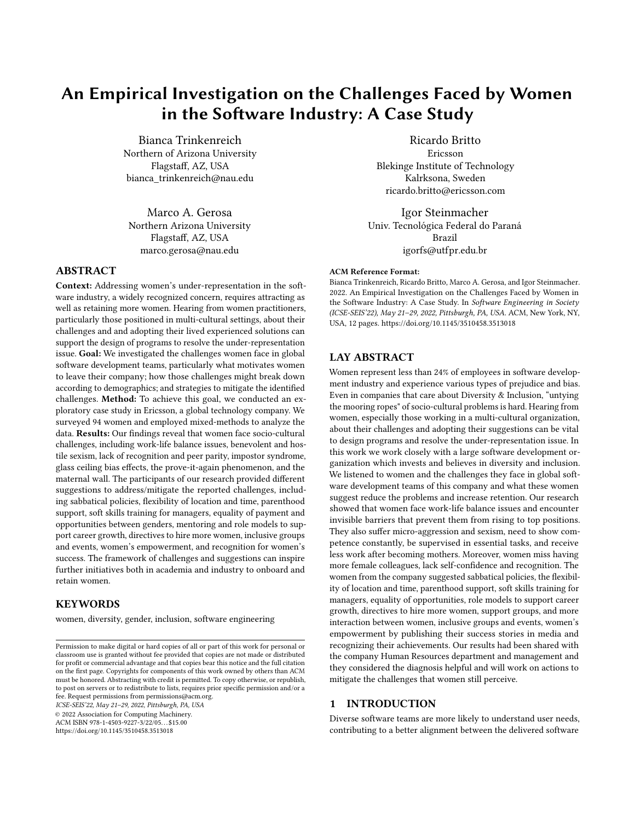See supplementary material $^6$  for additional details, including the answers to the demographics, the open questions and the qualitative analysis codes.

Next, we calculated the odds ratio for each challenge and demographic information. We interpreted the results as follows:

if Odds Ratio = 1, both groups are equally distributed for the reported challenge.

if Odds Ratio  $i_1$  1, the likelihood for the reported challenge is higher for the first group (in our case: experienced, older than 35, married and living with children).

if **Odds Ratio**  $\ddot{Y}$ **1**, the likelihood for the reported challenge is higher for the second group (in our case: novices, younger than 35 years, single or divorced, without children).

# 3 STUDY RESULTS

In this section, we present the results of our investigation, which are grouped by research question.

# 3.1 RQ1: What challenges do women face in software development teams?

We found eight challenge categories, as presented in Fig. 1. We marked with an asterisk (\*) the challenges reported by at least one person as a reason to leave the company. Table 2 presents the number of participants whose responses fit in each category. In the following, we present more details about our findings organized by challenge category.

3.1.1 Work-Life Balance Issues. Our participants reported that before the COVID-19 pandemic the company was STRICT TO THE physical location and many women left due to facing the "trailing spouse" effect [10, 31], moving to another city or country when their spouse was relocated.

After the COVID-19 pandemic and suddenly working from home, women reported facing PRESSURE TO WORK EXTRA HOURS, "having no boundary set for working hours" (S24), and having to either attend meetings in different time zones or to learn new knowledge for the work. They also mentioned the consequences for not giving in to this pressure: they would be excluded from decisions that are made during the meetings and are perceived by others as "lacking in teamwork" (S30).

When working extra and long hours, women feel stressed and have trouble disconnecting from work, "impacting other household chores and having hardly any time left to bring some peace to the mind" (S49). The LACK OF WELL-BEING SUPPORT causes high levels of stress, which would be one of the reasons to quit.

Besides the inflexible location, our participants also mentioned that before the COVID-19 they lacked flexible work hours (which improved during the pandemic) and paid sick leave (specific for one location, for which the local laws do not cover this). These points are really important for those who have parenting and caretaking responsibilities, though. Lack of daycare in the office was associated with LACK OF PARENTAL SUPPORT, which can cause women to leave the company.

3.1.2 Sexism. The ambivalent sexism theory [27] defines sexism as a multidimensional construct that includes two sets of attitudes: hostile and benevolent. Sexism has typically been conceptualized as a reflection of hostility toward women [27]. Hostile sexism is related to the classic definition of prejudice [3].

Our participants from our investigation reported microaggressions in which their "voices are suppressed per opposite gender" (S19). Besides not being heard during technical discussions, women receive various diminishing comments, such as that women cannot bring the same results as men and that "women come to work only for time pass or are not brilliant enough" (S85). Exposure to such diminishing comments can be a reason to leave.

Benevolent sexism represents the subjectively positive feelings toward a gender that often bring some sexist antipathy [27]. The participants reported being "pampered, never been given a hard/straight feedback" (S57) and being included in initiatives only because they are women, not because of their skills and capacity.

3.1.3 Lack of Recognition. Feeling valued or appreciated is part of Maslow's hierarchy of human needs [4]. The participants mentioned "Not been recognized by her job" (S63) and that women's results are usually evaluated as OK, never as excellent (S57), even when accomplishing exceptional work. No praises from managers was considered one of the reasons to leave.

3.1.4 Lack of Peer Parity. Being surrounded by similar individuals to which to compare oneself, or identifying with at least one other peer in the team, is known as peer parity [22].

The participants mentioned an "[im]balance in men:women ratio" (S37) and two consequences: (i) impact on their social capital, as they considered it "HARD TO COLLABORATE SOCIALLY" (S55), "[be]cause men socialize in a different way than women do"  $(S12)$ ; and  $(ii)$  impact on developing their self-confidence due to LACK OF ROLE MODELS, as they "lack [] strong women leaders as mentors" (S14).

3.1.5 Impostor Syndrome. Impostor Syndrome (also known as impostor phenomenon, fraud syndrome, perceived fraudulence, or impostor experience), describes an experience of individuals who, despite their objective successes, struggle to internalize their accomplishments, feel persistent self-doubt, and being exposed as a fraud or impostor [16].

Our participants mentioned as a challenge and reason to leave situations in which women personalize failures and "feel ashamed AND INFERIOR more than men and they tend to escape it by leaving [the company], but always masked as personal reasons" (S6).

3.1.6 Glass Ceiling. describes a corporate world phenomenon in which minorities' access to the top-management positions is blocked by tradition or culture [37], as an invisible structural barrier that prevent minorities from career advancement [64].

Two reasons to leave reported by the participants included the perception of PAY INEQUALITY BETWEEN GENDERS and INFERIOR CAreer growth opportunities for women. For the former, S30 stated that "women employees are paid less compared to male counterparts", while for the last, S69 mentioned that she "reach[ed] a stage where [they] have nowhere to [climb next] in the ladder" (S69). Still, women reported that they feel that they work harder to achieve the same positions as men, indicating a possible LACK OF TRANSPARENCY about the ladder criteria, as their ambition is discouraged,

<sup>6</sup>https://figshare.com/s/d1c3bd386083fa55104a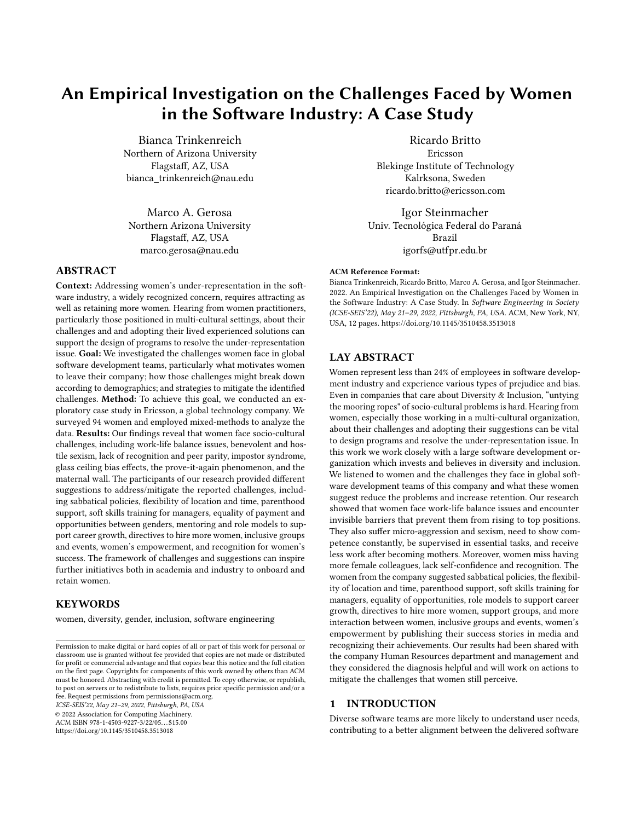An Empirical Investigation on the Challenges Faced by Women in the Software Industry: A Case Study ICSE-SEIS'22, May 21-29, 2022, Pittsburgh, PA, USA

Table 2: Representative examples of answers to the challenges' open question, number and percentage of women whose answer was coded for each category. In parenthesis the number of women who reported that challenge as a reason to leave.

| Challenge                                                                                                                                         | Representative examples                                                                                                                                                                                                                                                          | #      | $\%$ (n=64) |
|---------------------------------------------------------------------------------------------------------------------------------------------------|----------------------------------------------------------------------------------------------------------------------------------------------------------------------------------------------------------------------------------------------------------------------------------|--------|-------------|
| Work-Life<br>Balance Issues                                                                                                                       | "To be successful, any professional is expected to work super-hard and go far and beyond,<br>working overtime, constantly learn new things and this takes a lot of energy, but after my<br>35(25)<br>working hours end, my home, my second and more important work starts" (S40) |        | 54.7%       |
| "In technical discussions, people feel that women cannot do it better so they make<br>Sexism<br>comments which are makes you uncomfortable" (S23) |                                                                                                                                                                                                                                                                                  | 14(3)  | 21.9%       |
| Lack of Recognition                                                                                                                               | "Lack of praise" (S38). Not been recognized by the job" (S63)                                                                                                                                                                                                                    | 2(2)   | 3.1%        |
| Lack of Peer Parity                                                                                                                               | "Working in a place where there is a dominant number of male colleagues, inclusion in all<br>discussions might not be uniform across" (S43)                                                                                                                                      |        | 14.1%       |
| <b>Impostor Syndrome</b>                                                                                                                          | "When it comes to failure, the failures are easily owned and personalised by a women<br>and they on resign their own compared to men" (S57)                                                                                                                                      |        | 3.1%        |
| Glass Ceiling                                                                                                                                     | "Glass roof, only a few women as leaders" (S38). "When women try to achieve more things<br>they are called ambitious in a negative way. Whereas men are expected to." (S11)                                                                                                      | 26(19) | 40.6%       |
| Prove-it Again                                                                                                                                    | "As a woman I need to work harder to achieve the same as a man. I need to show<br>competence and to be 100% right all the time." (S25)                                                                                                                                           | 9      | 14.1%       |
| "Some people treat you differently because you just had a kid, giving you less work []<br>Maternal Wall<br>and framing you inside a box" (S79).   |                                                                                                                                                                                                                                                                                  | 4(1)   | 6.3%        |

The total per challenge is not the sum of the respondents since the participants often provided an answer that was categorized into more than one challenge.



Figure 1: The challenges reported by women who participated in our study. Those marked with an asterisk (\*) were reported as a challenge that ultimately can lead women to leave the company.

while "corporate politics are played by men" (S21) and MEN LIFT only their counterparts to top layer.

3.1.7 Prove-it Again. effect is a bias that occurs when a member of a group that does not align with stereotypes is measured at a stricter standard than those who do align with the stereotypes and, consequently, has to constantly provide more evidence to demonstrate competence [7].

The participants mentioned that women NEED TO SHOW COM-PETENCE ALL THE TIME: "put extra effort to be heard when there is competition between men" (S84) and having " no room to slip [up]" (S41). Lastly, women feel they need to prove themselves when receiving an important task, [as] they are supervised by another person to guarantee they do it correctly (S65).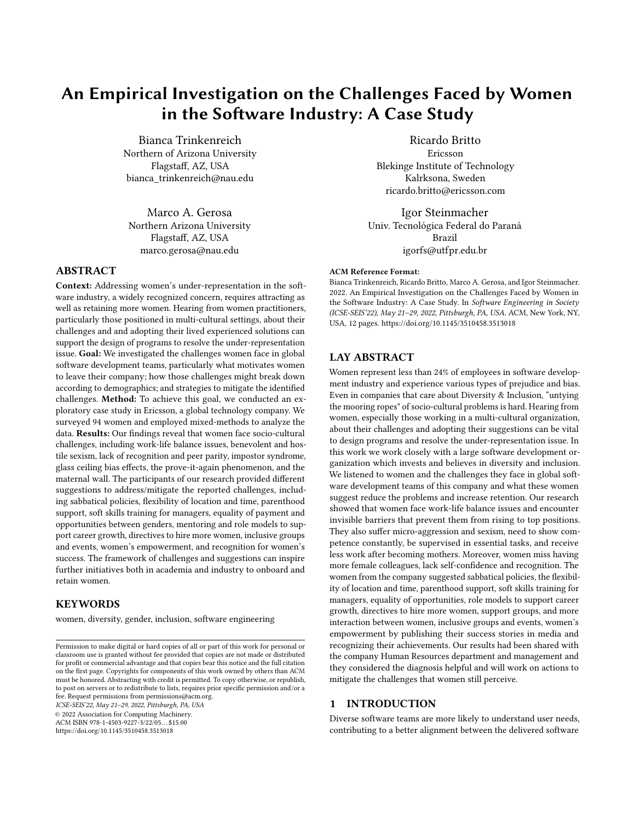ICSE-SEIS'22, May 21-29, 2022, Pittsburgh, PA, USA Bianca Trinkenreich, Ricardo Britto, Marco A. Gerosa, and Igor Steinmacher

3.1.8 Maternal Wall. describes the experience of mothers whose coworkers perceive and judge them as having made one of two choices: either they continue to work and neglect their family, making the mother less likable, or the mother prioritizes family over work, making them less reliable in the workplace [75]. Our participants reported that women who are mothers RECEIVE [FEWER] responsibilities because they have kids, as they are believed to not be able to handle much work. One of them reported "surprising colleagues that [they] are able to handle it all" (S7). In addition, one of the reasons that cause women to leave is that "when returning from maternity leave, not enough support is provided or generally the woman is asked to step down from the role" (S38).

3.1.9 A segmented look at the challenges perceived by women. In addition to the categorization described above, we took a deeper look into the results to understand the prevailing reports of challenges among our respondents and across different demographics. We avoid using the numerical prevalence of evidence to indicate the importance or criticality of any challenge. However, when presenting the results, we use supplementary and corroborative counting of the responses to triangulate the qualitative analysis [29]. The majority of respondents reported challenges related to WORK-LIFE Balance Issues (54.7%), Glass Ceiling (40.6%), and Sexism (21.9%). Figure 2 illustrates those three categories of challenges for each demographic.

We used the most representative demographic subgroup (see Table 1) to present the percentages, which reflect the number of participants who mentioned any difficulties that were classified under each category of challenge. Most of the respondents who reported challenges related to work-life balance issues are married and live in India, with proportions higher than 80%. No demographic was so prevalent for glass ceiling and sexism, demonstrating that both challenges were reported by a broader subgroup.

We also calculated the odds ratio for each of the three most reported challenges, considering the demographics detailed in Section 2.3. Table 3 presents the results of the odds ratio for each category of challenge. According to our sample, women with more experience in the software industry have higher odds (3.62x) than those with less experience to report challenges related to WORK-LIFE balance issues. The odds that married women report challenges related to work-life balance issues are 5.08x higher than for single or divorced women.

When analyzing the intersectionality of the demographics, we learned that all of the 20 women who have more than 10 years of experience in the software industry and reported challenges that were categorized into work-life balance issues are married or live in a domestic relationship with children. Regarding the GLASS ceiling, we also observed that more than the half of the women who reported this challenge have more than 10 years of experience in the software industry, are married or live in a domestic relationship, and live with children.

We found eight categories of challenges, with the most mentioned ones categorized into work-life balance issues, glass ceiling, and sexism. Women from our sample with more experience in the software industry and who were married were more likely to report challenges related to work-life balance issues.

# 3.2 RQ2: What are possible actions to mitigate the identified challenges, from the women's perspectives?

We now present the actions recommended by the participants to help mitigate the challenges and retain more women in the company. Our analysis revealed six categories that explain the actions suggested by women, which we present in Fig. 3.

Table 4 presents the number of participants whose responses fit in each category. Most of the respondents suggested the company HIRE MORE WOMEN (35.7%), SUPPORT WORK-LIFE BALANCE (30.0%), and EMBRACE EQUALITY (28.6%). We used the most representative demographic subgroup (see Table 1) to present the percentages, which reflect the number of participants who mentioned any difficulties that were classified under each category of suggestion. In the following, we present our findings organized by category.

3.2.1 Embrace Equality. Using the definition provided by UNESCO: "Gender equality exists when all genders enjoy the same status and have equal conditions, treatment, and opportunities for realizing their full potential, human rights and for contributing to and benefiting from economic, social, cultural and political development." [65].

In terms of cultural improvements, the participants suggested the company train all managers in soft skills to have more empathy and avoid burnout in their teams, so they can also respect and give voice to women.

In terms of process improvements, participants called for more equality in terms of payment, opportunities, and challenges. Providing "equal payment between genders" (S28), "equal opportunities without considering whether it is a women who is applying" (S88), and "giving [women] equal challenges like [those] given to the male employees which allow them to venture into more of learning and become confident" (S54).

Finally, our participants asked to "NOT ALLOCATE WOMEN ONLY IN PROCEDURAL TASKS, but include  $[them]$  in projects in which they feel [they are a] part [of the team], responsible and that can challenge their skills" (S62). This can give them equal opportunities and break the glass ceiling.

3.2.2 Support Women's Career Growth. To break the glass ceiling, the participants mentioned the need to encourage women to ADVANCE IN THEIR CAREER, "moving ahead in other streams apart from people management roles as well and HAVING MORE WOMEN IN TECHNICAL LEADERSHIP ROLES where very few women seem to step in" (S30).

Mentoring can "help younger talents to identify themselves and give them confidence and more prospects of continuing their career in the company" (S65). Prepare women to advance in career laddering by mentoring by other women who are role models, which can happen during "programs for women in leadership roles", "showing them how to grow, by teaching the skills that will help them get recognized in the crowd and make her feel valued" (S42).

3.2.3 Hire More Women. To hire more women, our participants suggested changes to the job opportunities the company offers and to the recruitment process, and to invest in marketing Regarding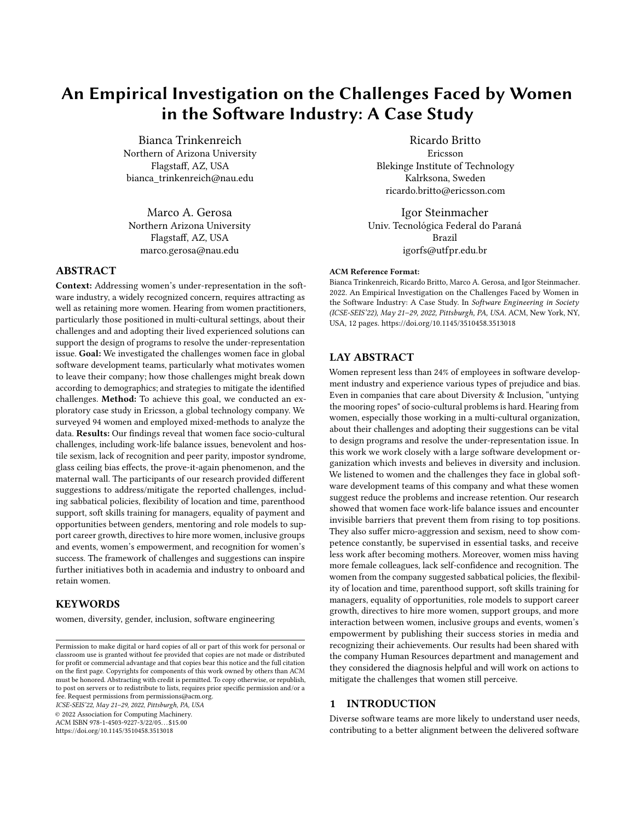An Empirical Investigation on the Challenges Faced by Women in the Software Industry: A Case Study ICSE-SEIS'22, May 21-29, 2022, Pittsburgh, PA, USA

| Table 3: Odds ratios per personal characteristic |  |  |  |
|--------------------------------------------------|--|--|--|
|--------------------------------------------------|--|--|--|

|                          | <b>More Experienced</b> | More Years in Company<br>vs. Less Experienced   vs. Less Years in Company | Older vs.   Married<br>Younger | vs. Single | Child vs.<br>no child |
|--------------------------|-------------------------|---------------------------------------------------------------------------|--------------------------------|------------|-----------------------|
| Work-Life Balance Issues | $3.17***$               | 1.09                                                                      | 2.51                           | $5.08***$  | 3.29                  |
| Glass Ceiling            | 0.48                    | 1.29                                                                      | 0.38                           | 0.76       | 1.46                  |
| Sexism                   | 0.46                    | 0.34                                                                      | 0.47                           | 0.37       | 2.13                  |

Significance codes: \*  $p < 0.10$ , \*\*  $p < 0.05$  \*\*\*  $p < 0.01$ .

Note: Odds ratio > 1 means that the first segment has greater chances of reporting the challenge than the second. Ratio < 1 means the opposite. The challenges were coded from the open question.



Figure 2: Subgroup analysis of the top three categories of challenges. The opacity of the icons represents the percentage of each category of challenge. Darker means a higher and lighter a lower percentage. The percentage below each challenge represents the number of respondents who reported that challenge. Some respondents provided answers about challenges that accounted for more than one category.

Table 4: Representative examples of answers to the suggestions' open question, number and percentage of women whose answer were coded for each category

| Suggestion                                    | Representative examples                                                                                                                                                                                                                                                                                                    | #            | $\%$ (n=70) |
|-----------------------------------------------|----------------------------------------------------------------------------------------------------------------------------------------------------------------------------------------------------------------------------------------------------------------------------------------------------------------------------|--------------|-------------|
| <b>Embrace Equality</b>                       | 'Speaking gender-diversity alone will not be suffice, it should also be reflected in the equal payouts<br>of deserving female candidates" (S28)                                                                                                                                                                            | 20           | 28.6%       |
| Support Women's<br>Career Growth              | "Promoting women to senior jobs and leadership would help younger talents to identify<br>themselves with the company, giving them confidence and more prospects of continuing their<br>career in the company" $(S65)$                                                                                                      | 14           | 20.0%       |
| Hire More<br>Women                            | "Active search for female talents" (S39) Conduct women-only drives to hire fresh talent from girls<br>colleges." (S59) "Publicize openings in workshops that are focused on women in market" (S63)                                                                                                                         | 25           | 35.7%       |
| Promote Women's<br>Groups and Events<br>Women | "Virtual meetings, debates" (S66) "diversity events, so minorities to feel more valued." (S40)                                                                                                                                                                                                                             | 3            | 4.3%        |
| <b>Empower Women</b>                          | "Be more active on social media and do external open talks with woman from Ericsson talking<br>about their work." (S10) "Deserving women should be recognized and rewarded" (S28)                                                                                                                                          | $\mathbf{r}$ | 10.0%       |
| Support<br>Work-Life Balance                  | 'Flexible work hours, and to focus on ensuring work-life balance. Workaholics tend to breach the<br>latter, not just their own, but the team's too in a collaborative environment." (S43)<br>Enable women taking a break from career due to motherhood to return to the workforce. That is<br>where we loose them." $(S2)$ | 21           | 30.0%       |

The total per suggestion of improvement is not the sum of the respondents since the participants often provided an answer that was categorized into more than one suggestion.

the job opportunities, they suggest the company MAKE THEM ATtractive to women's needs, create more part-time positions, and reserve positions prioritized for internal candidates and women.

Regarding the action related to CHANGE TO THE RECRUITMENT process, besides having more women as recruiters, the suggestions included transparency about the required skills, advertising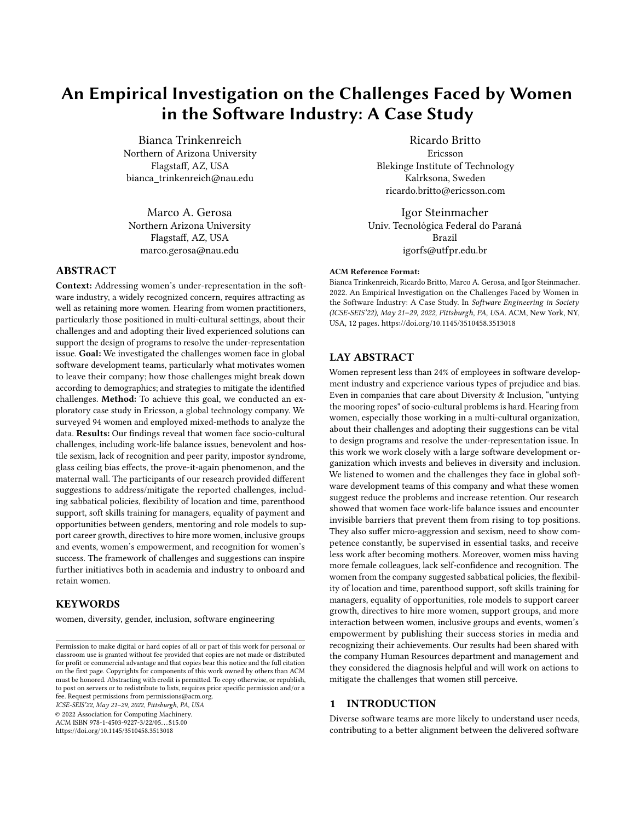#### ICSE-SEIS'22, May 21-29, 2022, Pittsburgh, PA, USA Bianca Trinkenreich, Ricardo Britto, Marco A. Gerosa, and Igor Steinmacher



Figure 3: Strategies suggested by women for the company to increase women in software development teams

job openings to women's groups and events, and raising awareness about how the company supports women's growth. Finally, the suggestions included base-level actions like investing in programs TO ATTRACT GIRLS TO STEM, and being "active in the social media that are accessed by the audience (e.g., Snap/Instagram)" (S90) so they would be "securing more talent women to join" (S38) and "from a fresher level" (S58).

3.2.4 Promote Women's Groups and Events. Considering that many teams still have only a few women, our participants mentioned that the lack of parity can be mitigated by havingwomen's SUPPORT groups and events for "interaction between women from dif-FERENT DEPARTMENTS" (S81). The events were suggested to target not only women, but "to celebrate differences and diversity (gender, cultural, age), so that minorities feel more valued" (S40).

3.2.5 Empower Women. Empowerment is a strong strategy to fight the impostor syndrome [17] and one of the strategies to foster it is recognition [44]. The study participants recommended recognition and achievements' rewards. Moreover, since women's empowerment refers to enhancement of their power and position in society, some participants suggested that "sharing the stories of [the company's] women can encourage and motivate women employees in achieving the same" (S49). Morever, empowerment could be achieved by "PUBLISHING WOMEN'S SUCCESS STORIES IN SOCIAL media" (S47) and external events.

3.2.6 Support Work-Life Balance. Sabbaticals are paid leaves for personal and professional development reasons [50] to promote well-being, and are also beneficial for the company, as they increase future productivity [18]. The participants suggested to IMPLEMENT SABBATICAL POLICIES so they can "take a break from [their] career" (S2) to rest, dedicate some time to their family, and acquire new knowledge.

Another suggestion was to "DISCOURAGE EXTRA HOURS, as the workaholics tend to breach the latter, not just their own, but the team's too in a collaborative environment" (S43).

Maternity leaves usually relate to each country's law. Some countries mandate a long maternity leave, while others mandate a shorter one [25]. The participants protested that "maternity leaves should not be considered an impediment for a woman to grow" (S54) and asked for the company to ASSIST MATERNITY by implementing own rules to extend the paid leave to 1 year, even "beyond local laws of the country" (S22).

Participants called for actions to embrace equality and help reduce the sexist culture inside the company, and to mitigate the biases that create maternity wall and prove-it-again effects. Initiatives to support women's growth were suggested to start breaking the glass ceiling. Hiring more women and organizing women's groups could foster peer parity, and women's empowerment could reduce impostor syndrome and provide recognition. Sabbaticals and discouraging long work hours were mentioned as ways to improve the work-life balance.

## 4 DISCUSSION

In this section, we present a more in-depth discussion of our results in the context of the literature.

Work-Life Balance Issues faced by mothers. Work and family are the two most important domains in a person's life and their interface has been the object of study for researchers worldwide [70]. As women assume the role of working professional in addition to their traditional role of homemaker, they are under great pressure to balance their work and personal lives [70]. The societal role expectations, women's career ambitions, and the nature of the IT industry challenges the way women manage their professional and personal lives [30]. The COVID-19 pandemic and the need to work from home cast new light on these issues. While it brought more flexibility to many workers (which is the case of the company studied), it also brought new challenges [23, 60]. For a great share of the population, it became hard to separate personal and professional life. Women felt this more than men, given the aforementioned societal expectations[43].

Work-life balance is a challenge that happens in and beyond the IT industry. In Japan, work-life balance is a general challenge, and the low numbers of women in medicine reflect the societal belief that careers and motherhood do not mix [61]. In contrast, Scandinavia has similar numbers of men and women physicians, which has coincided with the emergence of progressive work–life policies,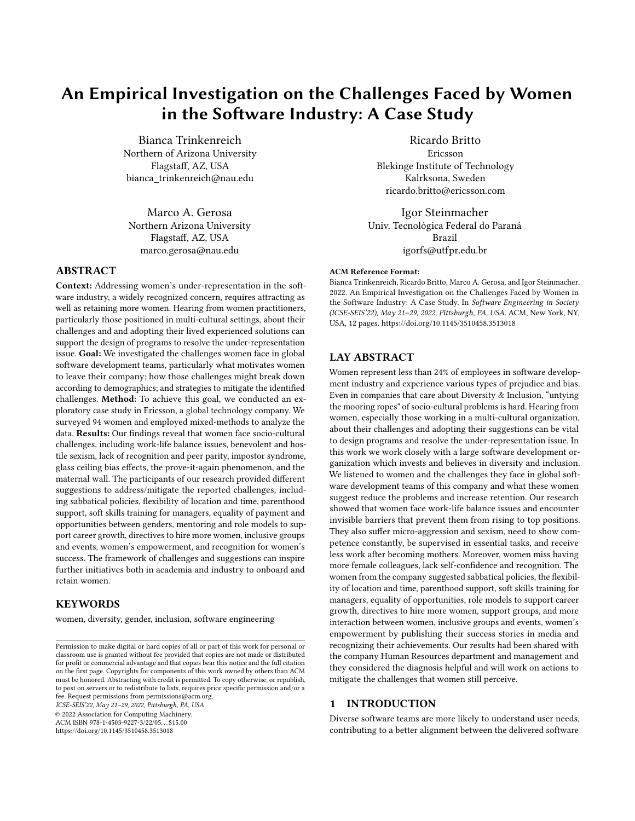the belief that women can combine motherhood and employment, and changing expectations of work-life balance. This shows that it is possible and that the mindset in the software industry needs to change.

The lack of parent support is one of the major challenges that Indian companies within the IT sector have been trying to navigate over the past decade to ensure a gender inclusive workplace [59]. This is reinforced by our work,in which women provided suggestions on how to improve parental policies to support families and mitigate this challenge, as we showed is Section 3.2. Sponsoring child care, preferentially in the office and specially for young children, providing adequate maternity leave beyond the relevant country's laws, and also providing more flexibility in work hours and location were some of the suggestions for the company to take in order to mitigate the challenges of work-life balance issues related to motherhood. This is harder to implement in many cases due to the countries' legislation and the local culture, which influence how organizational policies are defined.

Prepare women to break the glass ceiling. Analogous to the IT industry, women's barriers in the medical profession and their ability to rise to leadership positions are also influenced by social and cultural context [61]. Similar to software teams, where women are instrumental to reducing community smells [15], in international relations the collaboration between women delegates and women civil society groups positively impacts and brings more durable peace when negotiating peace agreements [39]. By analyzing the career trajectories of women executives across a variety of sectors, Glass and Cook [26] concluded that while attaining promotion to leadership is not easy, serving in a high position can be even more challenging. Although women can be more likely than men to be empowered to high-risk leadership positions, they often lack the support or authority to accomplish their strategic goals. As a result, women leaders often experience shorter tenures compared to their peers who are men [26].

The respondents provided suggestions to SUPPORT THEIR CAREER growth to mitigate this challenge, including having women to inspire, encourage and mentor other women, as we showed is Section 3.2. Providing training for mentors on topics such as speaking up on behalf of women who are being disrespected in meetings, managing bias in the workplace, and raising awareness of microaggressions at work are some examples of what should be included as part of standard training and preparation for mentors [24]. The mentoring program can start by having a different woman leader each month discuss her career trajectory and the benefits and challenges of holding her job. Women could share their techniques for managing time, balancing family and career demands, making themselves heard by men, and highlighting how they learn new skills on a regular basis [79]. Besides joining ongoing support groups, women can be assigned to formal mentors for one-on-one regular meetings [38].

Combining synergistic suggestions. One option for companies looking to improve women's participation is to combine strategies that are synergistic. The company can start by implementing simple, but structured actions combining ideas from more than one strategy. For example, by publishing success stories of women on media, the company can empower women and also attract and hire more women. Another action that combines synergistic strategies

is to ARRANGE WOMEN-ONLY GROUPS and analyze messages to implement feasible changes to problems that are being actively discussed and could potentially cause women to leave, as when women report facing hostile sexism. The literature reports that women experience computing environments differently due to sexism and racism, both historically and as part of the current culture [6, 45, 46, 69], potentially leading them to feel unwelcome and lacking of sense of belonging [63], and ultimately to leave [21].

Some problems come from beyond the company gates. Even in a company like Ericsson, which cares about Diversity & Inclusion, "untying the mooring ropes" of socio-cultural problems is difficult. Historically, the social differences influenced by gender roles (i.e., the roles that men and women are expected to occupy based on their sex) may be amplified because of the gendered division of housework and child care tasks, especially for mothers of young children. Impostor syndrome [5, 42, 78], Sexism [12, 14, 53, 67], Lack of Peer Parity [13, 56], Prove-it-Again [36], Glass Ceiling [14] and Work-Life Balance issues [42, 43] were challenges reported by women from the present study and also reported by both women in other software development contexts and in F/OSS. Some problems surpass the organization and are related to the local culture of the employees and managers. There are problems that go beyond the company's gates and bump into the society, which many times contributes to this cultural legacy. One example is the "trailing spouse", when a person who follows his or her life partner to another city because of a work assignment [10, 31]. Moreover, during the COVID-19 pandemic, a longer "double-shift" of paid and unpaid work in a context of school closures and limited availability of care services have contributed to an overall increase in stress, anxiety around job insecurity, and difficulty in maintaining work-life balance among women with children [1]. However, there is also space for improvement in the organization, and Ericsson is committed to implementing the suggested changes to mitigate the challenges faced by its women employees.

#### 4.1 Implications to the company

We presented the results to the managers of the studied suborganization and to the managers of Human Resources department. The feedback was very positive regarding the usefulness of the research. Managers considered the results helpful for the company to understand the current situation and to decide about actions can mitigate the challenges that women currently face and avoid them leaving the company. For the suggestions that are already in place, such as publishing successful stories of women and support groups, the company plans to expand and raise awareness to the employees. Sexism is considered an unacceptable behavior to Ericsson. The managers of the studied suborganization already started to have collective meetings with the team to spread the message and remind that sexism is not tolerated by the company. Following, the company is planning recurrent meetings to plan strategies that address the suggestions provided by the participants. In addition, Ericsson plans to raise awareness about the solutions that already exist (and maybe women are not aware of) and additional actions that can complement the suggestions to mitigate the reported challenges.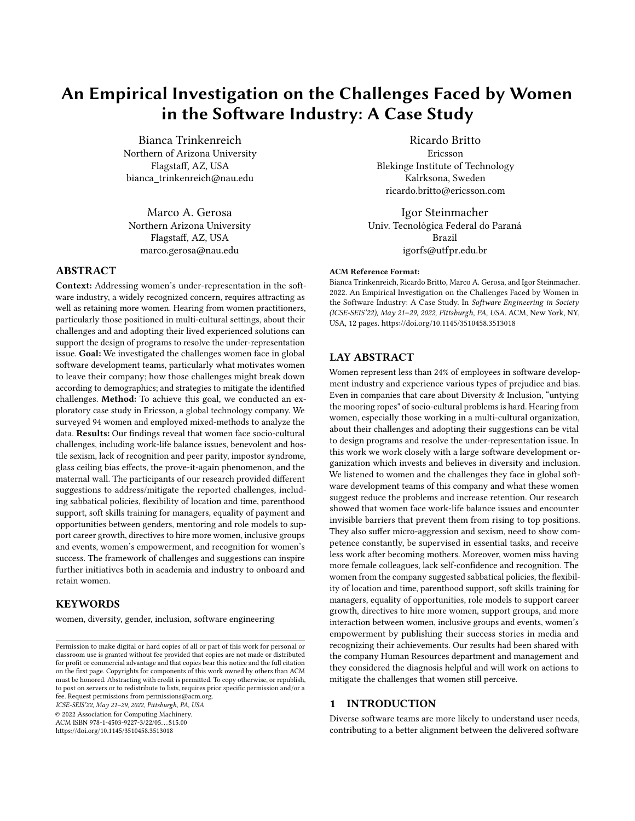# 5 RELATED WORK

Although diversity is a multidimensional concept that refers to the variety of representations that exist within a group [2, 76], gender (with a focus on women), is the most explored aspect of diversity in software engineering literature [47, 66]. The prevalence of gender as the most studied diversity aspect can be explained by the fact that the technology professions are known to be male dominated, despite the fact that programming was originally seen as a female occupation [8, 9, 20, 34]. According to a longitudinal study that evaluated 50 years of data and the evolution of code contributions since 1970, Zacchiroli [81] showed that woman developers' contributions remain low when compared to those of men. Although the study found that men have always authored more open source code than women, the gap has begun to narrow and women are slowly gaining space.

The biases and challenges faced by women in software development teams have been investigated in different industry cases [14, 52, 54, 78]. The Finish women from Wolff et al. [78]'s study reported lack of self-efficacy, which is a possible predecessor of impostor syndrome, also found in our study. Also similar to our results, the Brazilian women from Canedo et al. [14]'s study also reported hos-TILE SEXISM, including discrimination and bias, and BENEVOLENT sexism, when women do not receive the more complex tasks, and glass ceiling, as only few women perform a leadership role in their team. Another study with Brazilian women during the COVID-19 pandemic [43] revealed that women faced even more work-LIFE balance issues, lacking support with housework and child care responsibilities. As opposed to the GLASS CEILING reported by Canedo et al. [14]'s study and our results, the main challenge reported by the Zimbabwean women from [52]'s study was lack of digital exposure and career guidance from young age. So far, the studies point at generic aspects, focusing on understanding a broader, more comprehensive picture of the challenges faced by women. In our work, we evolve the findings by diagnosing an organization that is investing in programs to attract and retain women.

Women who contribute to F/OSS projects have reported some of the challenges also reported by women from the present study: work-life balance issues [42], impostor syndrome [5, 42], lack of peer parity [13, 56], prove-it-again [36] and sexism [12, 53, 67]. Non-inclusive communication is faced by F/OSS women in code reviews and mailing lists [5, 55, 58], and was reported as an aspect of the hostile sexism faced by women in the present study, which they described taking place during meetings. While in F/OSS women face bias against contributions when they explicitly identify as women[13, 71], in our study we found a lack of recognition. Stereotypes manifest the common expectations about members of certain social groups. Both the descriptive (how women are) and prescriptive (how women should be) gender stereotypes and the expectations they produce can compromise a woman's career progress [32, 33]. In F/OSS projects, women reported facing stereotyping that box them into specializations despite their manifest protest [74] and being treated by men as if they were their mothers, asking for advice about how to dress and behave but refusing to enter into a technical dialogue [53]. While women in our study reported also facing stereotypes, for them it was part of the Ma-TERNITY WALL and receiving fewer responsibilities because they

had children. And whereas F/OSS women reported that they faced obstacles to finding a mentor, since upon discovering their mentee's gender, men mentors can treat the relationship as a dating opportunity [53], this was not reported by women from the present study.

### 6 THREATS TO VALIDITY

There are some limitations related to our research results.

Internal validity. The characteristics of our sample may have influenced our results. Although the company has office in several locations, a great part of the responses (42 out of 64) were from women who live in India. Thus, the challenges and suggestions can reflect some of the specific socio-cultural problems and aspirations for women from this country. The most prevalent nationality of employees overall from the studied suborganization is Indian (55%).

External Validity. The results are valid for the studied suborganization of Ericsson and additional research is necessary to investigate the challenges and suggestions in other contexts.

Survival bias. Our results reflect the opinion of current employees. Therefore, to increase women's participation by fully understanding the reasons they might leave, we acknowledge that additional research is necessary to understand the point of view of the women who left the company. To mitigate this threat, we asked the participants about reasons that prompted a woman they know to leave the company.

Recall bias. As our questions were open-ended, our results could be impacted by either salience bias, where respondents focus on definitions that are prominent or emotionally striking and not necessarily all the factors that matter; or by memory bias, where participants answered questions based on what they can first recall. However, topics that are relevant to the respondent often emerge from the spontaneous answers.

Data Consistency. Consistency refers to ensuring that the results consistently follow from the data and there is no inference that cannot be supported after data analysis [48]. The group of researchers performed the qualitative analysis of questionnaire's responses. We had weekly meetings to discuss and adjust codes and categories until reaching agreement. In the meetings, we also checked the consistency of our interpretations. All analysis was thoroughly grounded in the data collected and exhaustively discussed amongst the whole team. The team includes researchers with extensive experience in qualitative methods.

Theoretical saturation. A potential limitation in qualitative studies regards reaching theoretical saturation. From participants in this study with different backgrounds and perceptions about the studied phenomenon, we received 64 responses for the challenges question and 70 for the strategies. The participants were diverse in terms of experience, tenure, age, family status. Therefore, although theoretical saturation cannot be claimed, we believe that we obtained a consistent and comprehensive account of the phenomenon for the studied case. After analyzing the  $40^{th}$  response of challenge and the  $29^{th}$  response of suggestion we did not find any new categories, using the existing categories for the following 24 challenges and 41 suggestions.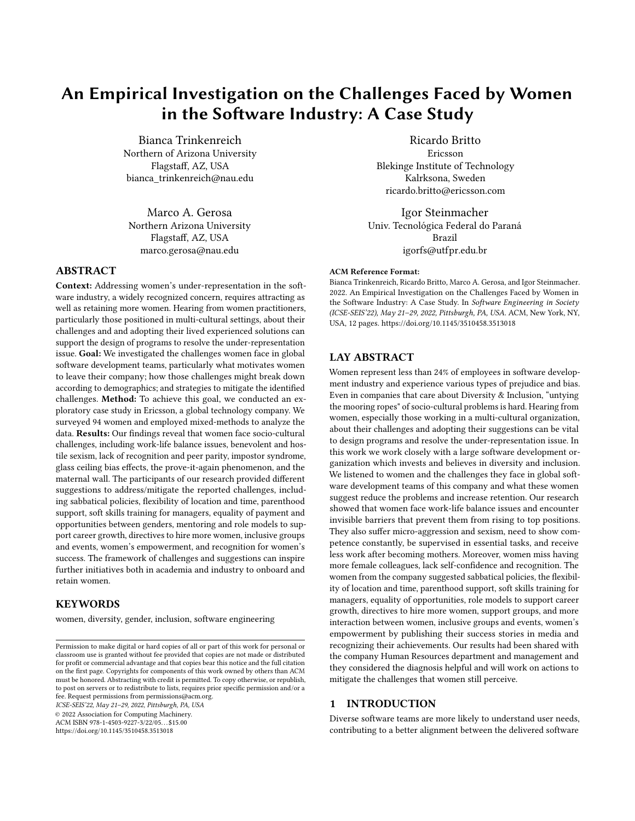An Empirical Investigation on the Challenges Faced by Women in the Software Industry: A Case Study ICSE-SEIS'22, May 21-29, 2022, Pittsburgh, PA, USA

# 7 CONCLUSION

This paper presents a case study aiming at understanding the challenges faced by women in a large software company and collecting strategies to increase the number of women. We found that even with the commitment with diversity and inclusion from Ericsson, women still perceive challenges and call for changes.

We also showed that the cultural structural sexism present in society is mirrored in the professional environment. There is still a long work ahead for Ericsson, for the software industry, and for us, as society, to create a more diverse and inclusive environment. We hope our results will enlighten actions towards reducing the perceived challenges and (more importantly, maybe) increasing awareness about the structural and cultural hurdles imposed on women that negatively influence diversity in the software industry.

#### REFERENCES

- [1] 2021. Global Gender Gap Report. Technical Report. World Economic Forum. [https://www3.weforum.org/docs/WEF\\_GGGR\\_2021.pdf](https://www3.weforum.org/docs/WEF_GGGR_2021.pdf) Accessed: 2021-10-18.
- [2] Khaled Albusays, Pernille Bjorn, Laura Dabbish, Denae Ford, Emerson Murphy-Hill, Alexander Serebrenik, and Margaret-Anne Storey. 2021. The diversity crisis in software development. IEEE Software 38, 2 (2021), 19–25.
- [3] Gordon Willard Allport, Kenneth Clark, and Thomas Pettigrew. 1954. The nature of prejudice. (1954).
- [4] A Arlow, Jacob. 1955. Motivation and Personality: By AH Maslow. New York: Harper & Brothers, 1954. 411 pp. Psychoanalytic Quarterly 24 (1955), 447–448.
- [5] Sogol Balali, Igor Steinmacher, Umayal Annamalai, Anita Sarma, and Marco Aurelio Gerosa. 2018. Newcomers' barriers... is that all? an analysis of mentors' and newcomers' barriers in OSS projects. Computer Supported Cooperative Work (CSCW) 27, 3-6 (2018), 679–714.
- [6] Lecia J Barker, Charlie McDowell, and Kimberly Kalahar. 2009. Exploring factors that influence computer science introductory course students to persist in the major. ACM Sigcse Bulletin 41, 1 (2009), 153–157.
- [7] Monica Biernat and Diane Kobrynowicz. 1997. Gender-and race-based standards of competence: lower minimum standards but higher ability standards for devalued groups. Journal of personality and social psychology 72, 3 (1997), 544.
- [8] Pernille Bjørn and Maria Menendez-Blanco. 2019. FemTech: Broadening participation to digital technology development. In Proceedings of the 27th ACM International Conference on Multimedia. 510–511.
- [9] Pernille Bjørn and Daniela K Rosner. 2021. Intertextual design: The hidden stories of Atari women. Human–Computer Interaction (2021), 1–26.
- [10] Maria Brandén. 2014. Gender, gender ideology, and couples' migration decisions. Journal of Family Issues 35, 7 (2014), 950–971.
- [11] Judith Butler. 1999. Gender is burning: Questions of. Feminist film theory: A reader (1999), 336.
- [12] Dafne Calvo. 2021. The (in) visible barriers to free software: Inequalities in online communities in Spain. Studies in Communication Sciences 21, 1 (2021), 163–178.
- [13] Edna Dias Canedo, Rodrigo Bonifácio, Márcio Vinicius Okimoto, Alexander Serebrenik, Gustavo Pinto, and Eduardo Monteiro. 2020. Work Practices and Perceptions from Women Core Developers in OSS Communities. In Proceedings of the 14th ACM/IEEE International Symposium on Empirical Software Engineering and Measurement (ESEM). 1–11.
- [14] Edna Dias Canedo, Fabiana Freitas Mendes, Anderson Jefferson Cerqueira, Rodrigo Bonifácio, Márcio Vinicius Okimoto, and Gustavo Pinto. 2021. Breaking one barrier at a time: how women developers cope in a men-dominated industry. In Software Engineering (SBES), 2021 Brazilian Symposium on. IEEE.
- [15] Gemma Catolino, Fabio Palomba, Damian A Tamburri, Alexander Serebrenik, and Filomena Ferrucci. 2019. Gender diversity and women in software teams: How do they affect community smells?. In 2019 IEEE/ACM 41st International Conference on Software Engineering: Software Engineering in Society (ICSE-SEIS). IEEE, 11–20.
- [16] Pauline Rose Clance and Suzanne Ament Imes. 1978. The imposter phenomenon in high achieving women: Dynamics and therapeutic intervention. Psychotherapy: Theory, research & practice 15, 3 (1978), 241.
- [17] Pauline Rose Clance and Maureen Ann OToole. 1987. The imposter phenomenon: An internal barrier to empowerment and achievement. Women  $\&$  Therapy 6, 3 (1987), 51–64.
- [18] Oranit B Davidson, Dov Eden, Mina Westman, Yochi Cohen-Charash, Leslie B Hammer, Avraham N Kluger, Moshe Krausz, Christina Maslach, Michael O'Driscoll, Pamela L Perrewé, et al. 2010. Sabbatical leave: who gains and how much? Journal of Applied Psychology 95, 5 (2010), 953.
- [19] Christopher P Earley and Elaine Mosakowski. 2000. Creating hybrid team cultures: An empirical test of transnational team functioning. Academy of Management journal 43, 1 (2000), 26–49.
- [20] Nathan L Ensmenger. 2012. The computer boys take over: Computers, programmers, and the politics of technical expertise. Mit Press.
- [21] Lorelle Espinosa. 2011. Pipelines and pathways: Women of color in undergraduate STEM majors and the college experiences that contribute to persistence. Harvard Educational Review 81, 2 (2011), 209–241.
- [22] Denae Ford, Alisse Harkins, and Chris Parnin. 2017. Someone like me: How does peer parity influence participation of women on stack overflow?. In 2017 IEEE symposium on visual languages and human-centric computing (VL/HCC). IEEE, 239–243.
- [23] Denae Ford, Margaret-Anne Storey, Thomas Zimmermann, Christian Bird, Sonia Jaffe, Chandra Maddila, Jenna L Butler, Brian Houck, and Nachiappan Nagappan. 2020. A tale of two cities: Software developers working from home during the covid-19 pandemic. arXiv preprint arXiv:2008.11147 (2020).
- [24] Katherine Giscombe. 2017. Creating effective formal mentoring programs for women of color. In Mentoring Diverse Leaders. Routledge, 145–158.
- [25] Yehonatan Givati and Ugo Troiano. 2012. Law, economics, and culture: Theory of mandated benefits and evidence from maternity leave policies. The Journal of Law and Economics 55, 2 (2012), 339–364.
- [26] Christy Glass and Alison Cook. 2016. Leading at the top: Understanding women's challenges above the glass ceiling. The Leadership Quarterly 27, 1 (2016), 51–63.
- [27] Peter Glick and Susan T Fiske. 1996. The ambivalent sexism inventory: Differentiating hostile and benevolent sexism. Journal of personality and social psychology 70, 3 (1996), 491.
- [28] David E Guest. 2002. Perspectives on the study of work-life balance. Social Science Information 41, 2 (2002), 255–279.
- [29] David R Hannah and Brenda A Lautsch. 2011. Counting in qualitative research: Why to conduct it, when to avoid it, and when to closet it. Journal of Management Inquiry 20, 1 (2011), 14–22.
- [30] Rana Haq. 2013. Intersectionality of gender and other forms of identity: Dilemmas and challenges facing women in India. Gender in Management: An International Journal (2013).
- [31] Michael Harvey. 1998. Dual-career couples during international relocation: The trailing spouse. International Journal of Human Resource Management 9, 2 (1998), 309–331.
- [32] Madeline E Heilman. 2001. Description and prescription: How gender stereotypes prevent women's ascent up the organizational ladder. Journal of social issues 57, 4 (2001), 657–674.
- [33] Madeline E Heilman. 2012. Gender stereotypes and workplace bias. Research in organizational Behavior 32 (2012), 113–135.
- [34] Mar Hicks. 2017. Programmed inequality: How Britain discarded women technologists and lost its edge in computing. MIT Press.
- [35] Sonja M Hyrynsalmi. 2019. The underrepresentation of women in the software industry: thoughts from career-changing women. In 2019 IEEE/ACM 2nd International Workshop on Gender Equality in Software Engineering (GE). IEEE,  $1 - 4$
- [36] Nasif Imtiaz, Justin Middleton, Joymallya Chakraborty, Neill Robson, Gina Bai, and Emerson Murphy-Hill. 2019. Investigating the Effects of Gender Bias on GitHub. In 2019 IEEE/ACM 41st International Conference on Software Engineering (ICSE). IEEE, 700–711.
- [37] Janet Cooper Jackson. 2001. Women middle managers' perception of the glass ceiling. Women in management review (2001).
- [38] Omofolasade Kosoko-Lasaki, Roberta E Sonnino, and Mary Lou Voytko. 2006. Mentoring for women and underrepresented minority faculty and students: experience at two institutions of higher education. Journal of the national medical association 98, 9 (2006), 1449.
- [39] Jana Krause, Werner Krause, and Piia Bränfors. 2018. Women's participation in peace negotiations and the durability of peace. International Interactions 44, 6 (2018), 985–1016.
- [40] Victor Kuechler, Claire Gilbertson, and Carlos Jensen. 2012. Gender differences in early free and open source software joining process. In IFIP International Conference on Open Source Systems. Springer, 78–93.
- [41] William Lawrence Neuman. 2014. Social research methods: Qualitative and quantitative approaches.
- [42] Amanda Lee and Jeffrey Carver. 2019. FLOSS Participants' Perceptions about Gender and Inclusiveness: A Survey. In 41st International Conference on Software Engineering.
- [43] Leticia S Machado, Clara Caldeira, Marcelo Gattermann Perin, and Cleidson RB de Souza. 2020. Gendered experiences of software engineers during the COVID-19 crisis. Ieee Software 38, 2 (2020), 38–44.
- [44] Sujata Manohar. 2001. Human rights for women's empowerment. Empowering the Indian Women, Publications Division, Ministry of Information and Broadcasting, Government of India, New Delhi (2001).
- [45] Jane Margolis, Rachel Estrella, Joanna Goode, Jennifer Jellison Holme, and Kim Nao. 2017. Stuck in the shallow end: Education, race, and computing.